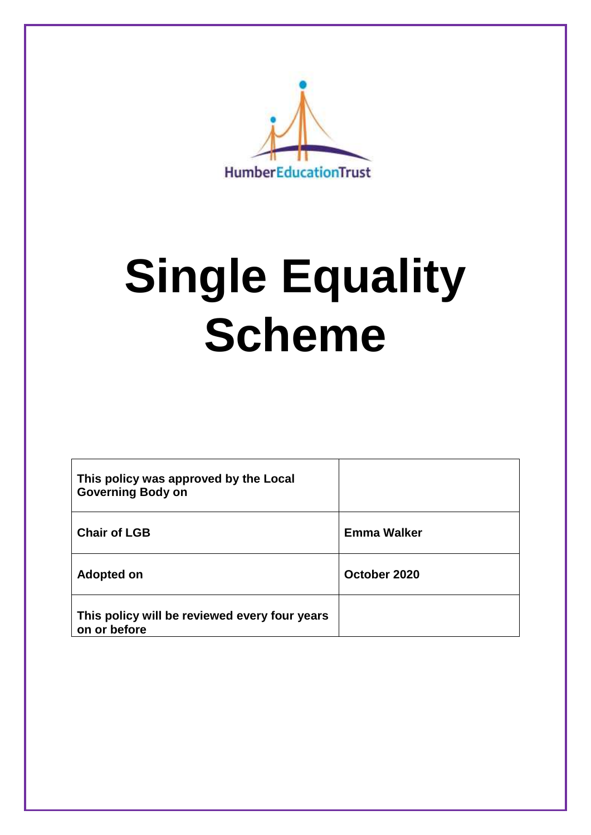

# **Single Equality Scheme**

| This policy was approved by the Local<br><b>Governing Body on</b> |                    |
|-------------------------------------------------------------------|--------------------|
| <b>Chair of LGB</b>                                               | <b>Emma Walker</b> |
| <b>Adopted on</b>                                                 | October 2020       |
| This policy will be reviewed every four years<br>on or before     |                    |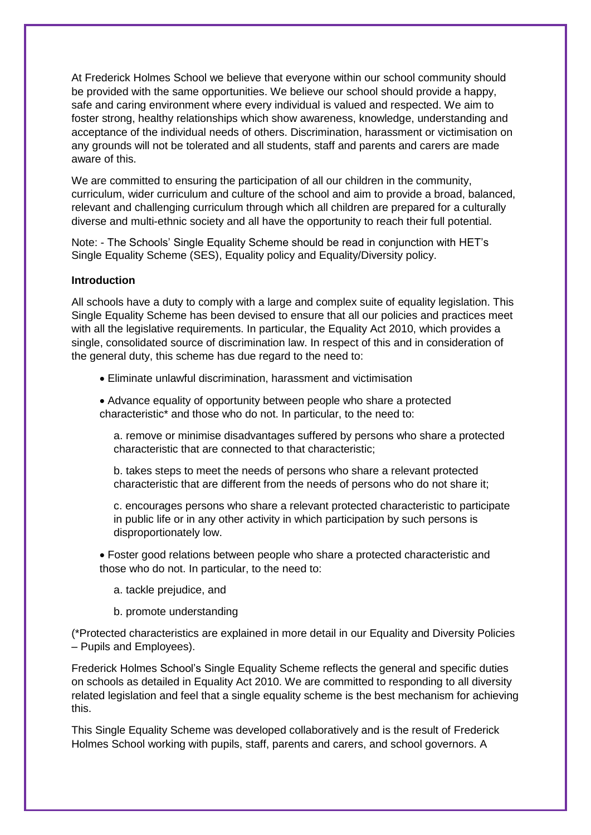At Frederick Holmes School we believe that everyone within our school community should be provided with the same opportunities. We believe our school should provide a happy, safe and caring environment where every individual is valued and respected. We aim to foster strong, healthy relationships which show awareness, knowledge, understanding and acceptance of the individual needs of others. Discrimination, harassment or victimisation on any grounds will not be tolerated and all students, staff and parents and carers are made aware of this.

We are committed to ensuring the participation of all our children in the community. curriculum, wider curriculum and culture of the school and aim to provide a broad, balanced, relevant and challenging curriculum through which all children are prepared for a culturally diverse and multi-ethnic society and all have the opportunity to reach their full potential.

Note: - The Schools' Single Equality Scheme should be read in conjunction with HET's Single Equality Scheme (SES), Equality policy and Equality/Diversity policy.

#### **Introduction**

All schools have a duty to comply with a large and complex suite of equality legislation. This Single Equality Scheme has been devised to ensure that all our policies and practices meet with all the legislative requirements. In particular, the Equality Act 2010, which provides a single, consolidated source of discrimination law. In respect of this and in consideration of the general duty, this scheme has due regard to the need to:

- Eliminate unlawful discrimination, harassment and victimisation
- Advance equality of opportunity between people who share a protected characteristic\* and those who do not. In particular, to the need to:

a. remove or minimise disadvantages suffered by persons who share a protected characteristic that are connected to that characteristic;

b. takes steps to meet the needs of persons who share a relevant protected characteristic that are different from the needs of persons who do not share it;

c. encourages persons who share a relevant protected characteristic to participate in public life or in any other activity in which participation by such persons is disproportionately low.

• Foster good relations between people who share a protected characteristic and those who do not. In particular, to the need to:

- a. tackle prejudice, and
- b. promote understanding

(\*Protected characteristics are explained in more detail in our Equality and Diversity Policies – Pupils and Employees).

Frederick Holmes School's Single Equality Scheme reflects the general and specific duties on schools as detailed in Equality Act 2010. We are committed to responding to all diversity related legislation and feel that a single equality scheme is the best mechanism for achieving this.

This Single Equality Scheme was developed collaboratively and is the result of Frederick Holmes School working with pupils, staff, parents and carers, and school governors. A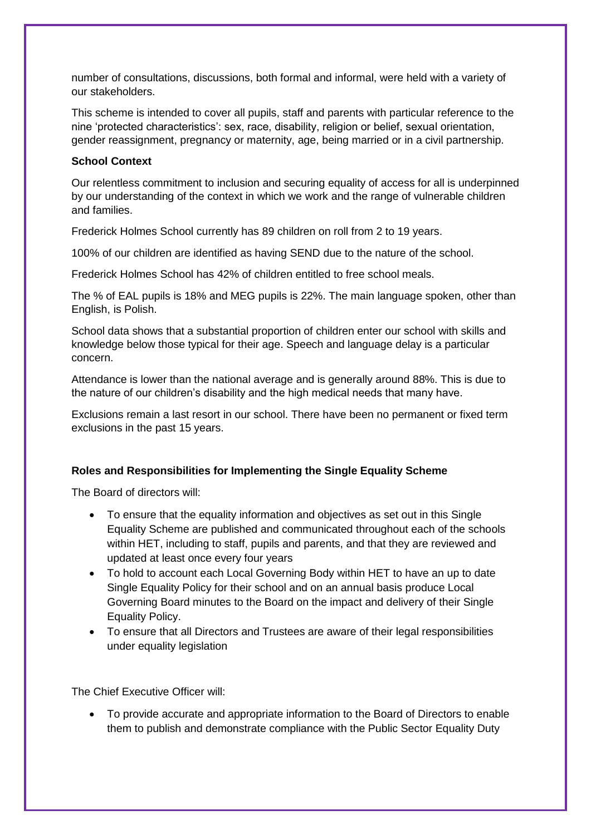number of consultations, discussions, both formal and informal, were held with a variety of our stakeholders.

This scheme is intended to cover all pupils, staff and parents with particular reference to the nine 'protected characteristics': sex, race, disability, religion or belief, sexual orientation, gender reassignment, pregnancy or maternity, age, being married or in a civil partnership.

#### **School Context**

Our relentless commitment to inclusion and securing equality of access for all is underpinned by our understanding of the context in which we work and the range of vulnerable children and families.

Frederick Holmes School currently has 89 children on roll from 2 to 19 years.

100% of our children are identified as having SEND due to the nature of the school.

Frederick Holmes School has 42% of children entitled to free school meals.

The % of EAL pupils is 18% and MEG pupils is 22%. The main language spoken, other than English, is Polish.

School data shows that a substantial proportion of children enter our school with skills and knowledge below those typical for their age. Speech and language delay is a particular concern.

Attendance is lower than the national average and is generally around 88%. This is due to the nature of our children's disability and the high medical needs that many have.

Exclusions remain a last resort in our school. There have been no permanent or fixed term exclusions in the past 15 years.

### **Roles and Responsibilities for Implementing the Single Equality Scheme**

The Board of directors will:

- To ensure that the equality information and objectives as set out in this Single Equality Scheme are published and communicated throughout each of the schools within HET, including to staff, pupils and parents, and that they are reviewed and updated at least once every four years
- To hold to account each Local Governing Body within HET to have an up to date Single Equality Policy for their school and on an annual basis produce Local Governing Board minutes to the Board on the impact and delivery of their Single Equality Policy.
- To ensure that all Directors and Trustees are aware of their legal responsibilities under equality legislation

The Chief Executive Officer will:

• To provide accurate and appropriate information to the Board of Directors to enable them to publish and demonstrate compliance with the Public Sector Equality Duty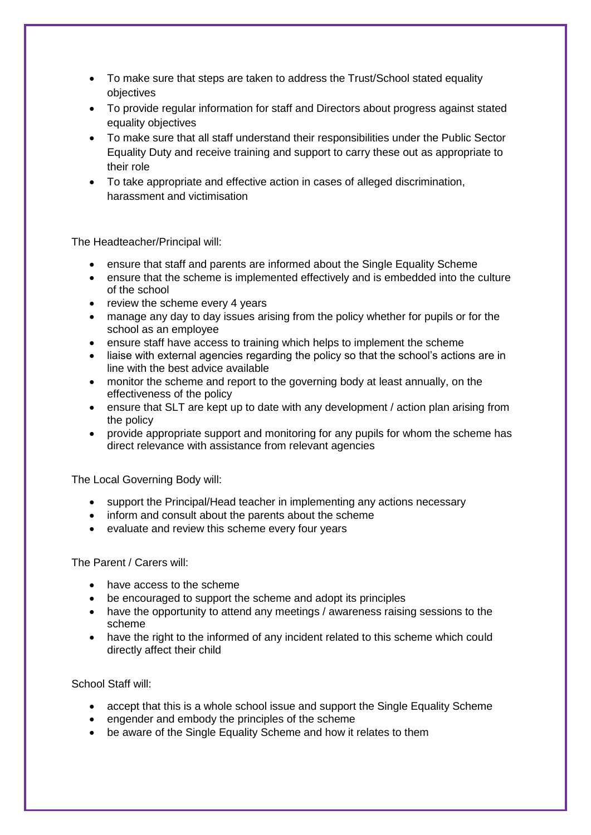- To make sure that steps are taken to address the Trust/School stated equality objectives
- To provide regular information for staff and Directors about progress against stated equality objectives
- To make sure that all staff understand their responsibilities under the Public Sector Equality Duty and receive training and support to carry these out as appropriate to their role
- To take appropriate and effective action in cases of alleged discrimination, harassment and victimisation

The Headteacher/Principal will:

- ensure that staff and parents are informed about the Single Equality Scheme
- ensure that the scheme is implemented effectively and is embedded into the culture of the school
- review the scheme every 4 years
- manage any day to day issues arising from the policy whether for pupils or for the school as an employee
- ensure staff have access to training which helps to implement the scheme
- liaise with external agencies regarding the policy so that the school's actions are in line with the best advice available
- monitor the scheme and report to the governing body at least annually, on the effectiveness of the policy
- ensure that SLT are kept up to date with any development / action plan arising from the policy
- provide appropriate support and monitoring for any pupils for whom the scheme has direct relevance with assistance from relevant agencies

The Local Governing Body will:

- support the Principal/Head teacher in implementing any actions necessary
- inform and consult about the parents about the scheme
- evaluate and review this scheme every four years

The Parent / Carers will:

- have access to the scheme
- be encouraged to support the scheme and adopt its principles
- have the opportunity to attend any meetings / awareness raising sessions to the scheme
- have the right to the informed of any incident related to this scheme which could directly affect their child

School Staff will:

- accept that this is a whole school issue and support the Single Equality Scheme
- engender and embody the principles of the scheme
- be aware of the Single Equality Scheme and how it relates to them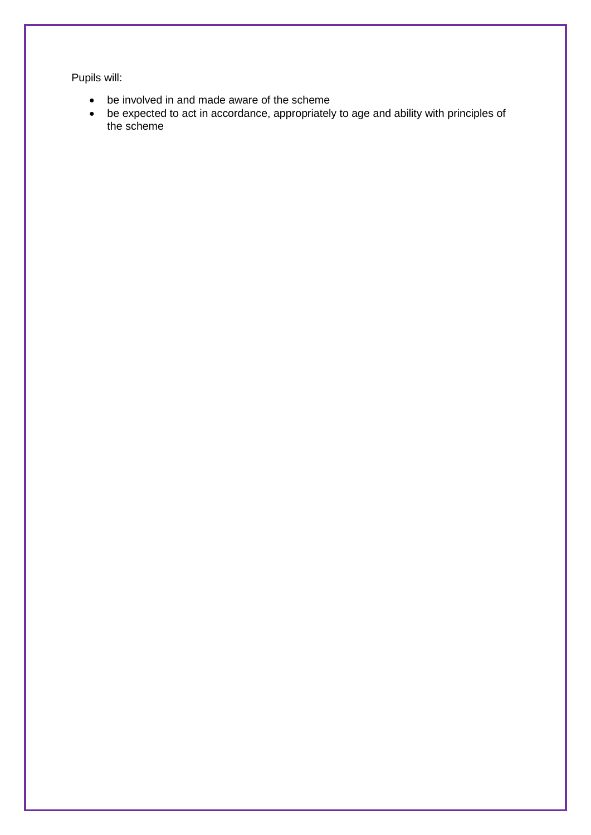Pupils will:

- be involved in and made aware of the scheme
- be expected to act in accordance, appropriately to age and ability with principles of the scheme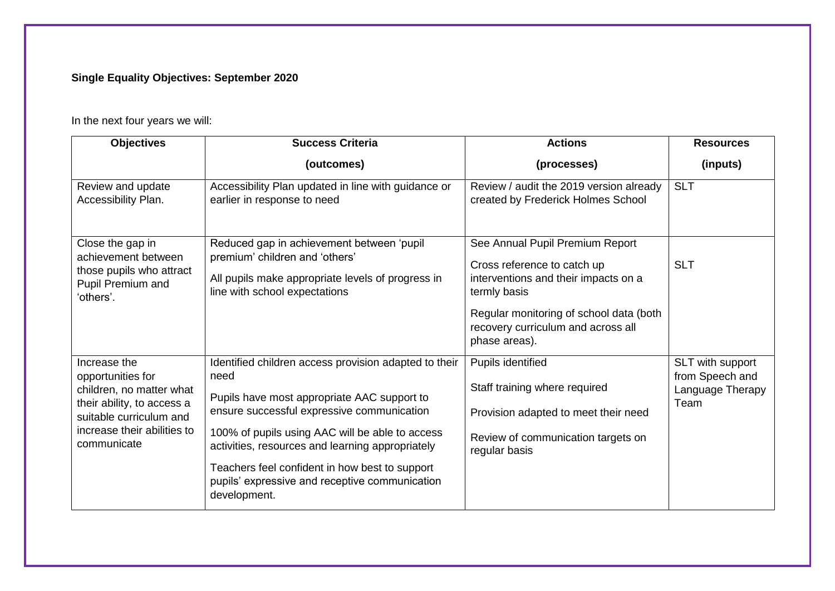## **Single Equality Objectives: September 2020**

In the next four years we will:

| <b>Objectives</b>                                                                                                                                                    | <b>Success Criteria</b>                                                                                                                                                                                                                                                                                                                                                               | <b>Actions</b>                                                                                                                                                                                                           | <b>Resources</b>                                                |
|----------------------------------------------------------------------------------------------------------------------------------------------------------------------|---------------------------------------------------------------------------------------------------------------------------------------------------------------------------------------------------------------------------------------------------------------------------------------------------------------------------------------------------------------------------------------|--------------------------------------------------------------------------------------------------------------------------------------------------------------------------------------------------------------------------|-----------------------------------------------------------------|
|                                                                                                                                                                      | (outcomes)                                                                                                                                                                                                                                                                                                                                                                            | (processes)                                                                                                                                                                                                              | (inputs)                                                        |
| Review and update<br>Accessibility Plan.                                                                                                                             | Accessibility Plan updated in line with guidance or<br>earlier in response to need                                                                                                                                                                                                                                                                                                    | Review / audit the 2019 version already<br>created by Frederick Holmes School                                                                                                                                            | <b>SLT</b>                                                      |
| Close the gap in<br>achievement between<br>those pupils who attract<br>Pupil Premium and<br>'others'.                                                                | Reduced gap in achievement between 'pupil<br>premium' children and 'others'<br>All pupils make appropriate levels of progress in<br>line with school expectations                                                                                                                                                                                                                     | See Annual Pupil Premium Report<br>Cross reference to catch up<br>interventions and their impacts on a<br>termly basis<br>Regular monitoring of school data (both<br>recovery curriculum and across all<br>phase areas). | <b>SLT</b>                                                      |
| Increase the<br>opportunities for<br>children, no matter what<br>their ability, to access a<br>suitable curriculum and<br>increase their abilities to<br>communicate | Identified children access provision adapted to their<br>need<br>Pupils have most appropriate AAC support to<br>ensure successful expressive communication<br>100% of pupils using AAC will be able to access<br>activities, resources and learning appropriately<br>Teachers feel confident in how best to support<br>pupils' expressive and receptive communication<br>development. | Pupils identified<br>Staff training where required<br>Provision adapted to meet their need<br>Review of communication targets on<br>regular basis                                                                        | SLT with support<br>from Speech and<br>Language Therapy<br>Team |